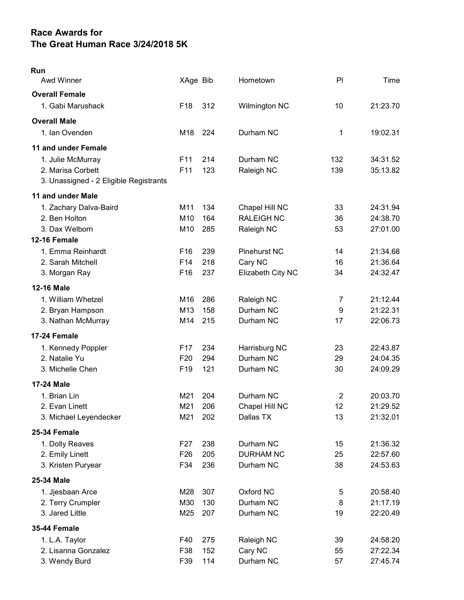## Race Awards for The Great Human Race 3/24/2018 5K

| Run<br>Awd Winner                      | XAge Bib        |     | Hometown            | PI             | Time     |
|----------------------------------------|-----------------|-----|---------------------|----------------|----------|
| <b>Overall Female</b>                  |                 |     |                     |                |          |
| 1. Gabi Marushack                      | F <sub>18</sub> | 312 | Wilmington NC       | 10             | 21:23.70 |
|                                        |                 |     |                     |                |          |
| <b>Overall Male</b>                    |                 |     |                     |                |          |
| 1. Ian Ovenden                         | M18             | 224 | Durham NC           | 1              | 19:02.31 |
| 11 and under Female                    |                 |     |                     |                |          |
| 1. Julie McMurray                      | F <sub>11</sub> | 214 | Durham NC           | 132            | 34:31.52 |
| 2. Marisa Corbett                      | F11             | 123 | Raleigh NC          | 139            | 35:13.82 |
| 3. Unassigned - 2 Eligible Registrants |                 |     |                     |                |          |
| 11 and under Male                      |                 |     |                     |                |          |
| 1. Zachary Dalva-Baird                 | M11             | 134 | Chapel Hill NC      | 33             | 24:31.94 |
| 2. Ben Holton                          | M10             | 164 | <b>RALEIGH NC</b>   | 36             | 24:38.70 |
| 3. Dax Welborn                         | M10             | 285 | Raleigh NC          | 53             | 27:01.00 |
| 12-16 Female                           |                 |     |                     |                |          |
| 1. Emma Reinhardt                      | F <sub>16</sub> | 239 | <b>Pinehurst NC</b> | 14             | 21:34.68 |
| 2. Sarah Mitchell                      | F <sub>14</sub> | 218 | Cary NC             | 16             | 21:36.64 |
| 3. Morgan Ray                          | F16             | 237 | Elizabeth City NC   | 34             | 24:32.47 |
| <b>12-16 Male</b>                      |                 |     |                     |                |          |
| 1. William Whetzel                     | M16             | 286 | Raleigh NC          | 7              | 21:12.44 |
| 2. Bryan Hampson                       | M13             | 158 | Durham NC           | 9              | 21:22.31 |
| 3. Nathan McMurray                     | M14             | 215 | Durham NC           | 17             | 22:06.73 |
| 17-24 Female                           |                 |     |                     |                |          |
| 1. Kennedy Poppler                     | F <sub>17</sub> | 234 | Harrisburg NC       | 23             | 22:43.87 |
| 2. Natalie Yu                          | F <sub>20</sub> | 294 | Durham NC           | 29             | 24:04.35 |
| 3. Michelle Chen                       | F <sub>19</sub> | 121 | Durham NC           | 30             | 24:09.29 |
| 17-24 Male                             |                 |     |                     |                |          |
| 1. Brian Lin                           | M21             | 204 | Durham NC           | $\overline{c}$ | 20:03.70 |
| 2. Evan Linett                         | M21             | 206 | Chapel Hill NC      | 12             | 21:29.52 |
| 3. Michael Leyendecker                 | M21             | 202 | Dallas TX           | 13             | 21:32.01 |
| 25-34 Female                           |                 |     |                     |                |          |
| 1. Dolly Reaves                        | F <sub>27</sub> | 238 | Durham NC           | 15             | 21:36.32 |
| 2. Emily Linett                        | F <sub>26</sub> | 205 | <b>DURHAM NC</b>    | 25             | 22:57.60 |
| 3. Kristen Puryear                     | F34             | 236 | Durham NC           | 38             | 24:53.63 |
| 25-34 Male                             |                 |     |                     |                |          |
| 1. Jjesbaan Arce                       | M28             | 307 | Oxford NC           | 5              | 20:58.40 |
| 2. Terry Crumpler                      | M30             | 130 | Durham NC           | 8              | 21:17.19 |
| 3. Jared Little                        | M25             | 207 | Durham NC           | 19             | 22:20.49 |
| <b>35-44 Female</b>                    |                 |     |                     |                |          |
| 1. L.A. Taylor                         | F40             | 275 | Raleigh NC          | 39             | 24:58.20 |
| 2. Lisanna Gonzalez                    | F38             | 152 | Cary NC             | 55             | 27:22.34 |
| 3. Wendy Burd                          | F39             | 114 | Durham NC           | 57             | 27:45.74 |
|                                        |                 |     |                     |                |          |